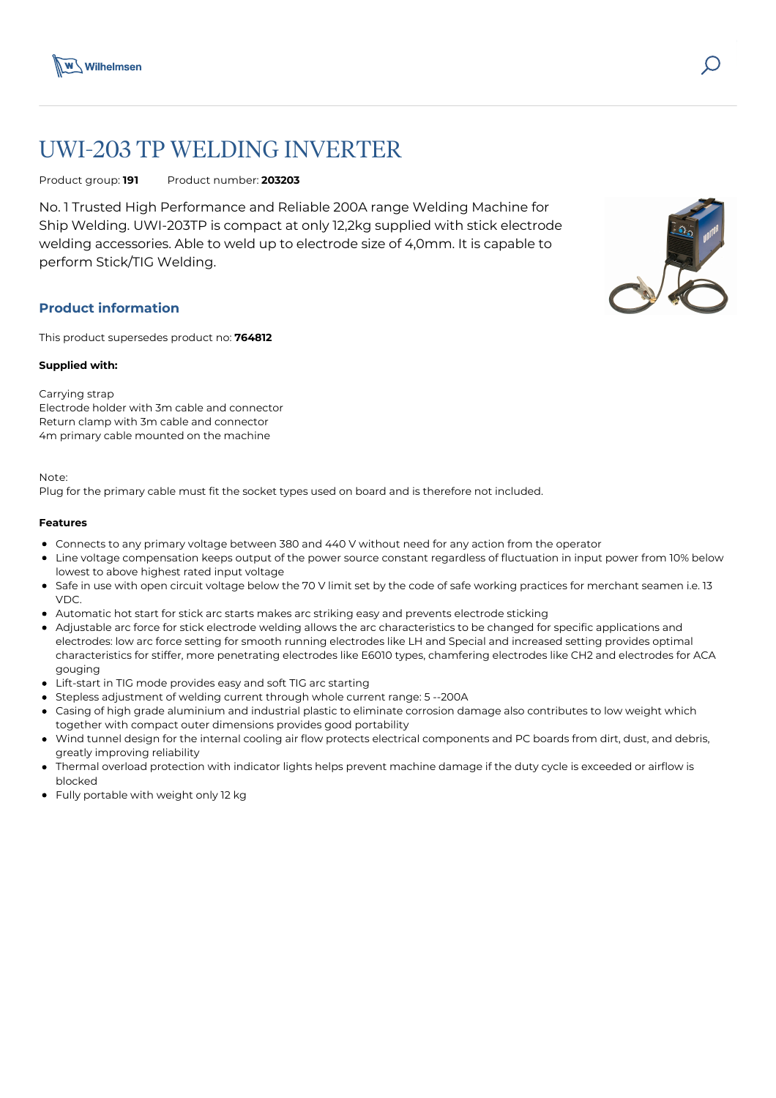

# UWI-203 TP WELDING INVERTER

Product group: **191** Product number: **203203**

No. 1 Trusted High Performance and Reliable 200A range Welding Machine for Ship Welding. UWI-203TP is compact at only 12,2kg supplied with stick electrode welding accessories. Able to weld up to electrode size of 4,0mm. It is capable to perform Stick/TIG Welding.

# **Product information**

This product supersedes product no: **764812**

## **Supplied with:**

## Carrying strap

Electrode holder with 3m cable and connector Return clamp with 3m cable and connector 4m primary cable mounted on the machine

Note:

Plug for the primary cable must fit the socket types used on board and is therefore not included.

#### **Features**

- Connects to any primary voltage between 380 and 440 V without need for any action from the operator
- Line voltage compensation keeps output of the power source constant regardless of fluctuation in input power from 10% below lowest to above highest rated input voltage
- Safe in use with open circuit voltage below the 70 V limit set by the code of safe working practices for merchant seamen i.e. 13 VDC.
- Automatic hot start for stick arc starts makes arc striking easy and prevents electrode sticking
- Adjustable arc force for stick electrode welding allows the arc characteristics to be changed for specific applications and electrodes: low arc force setting for smooth running electrodes like LH and Special and increased setting provides optimal characteristics for stiffer, more penetrating electrodes like E6010 types, chamfering electrodes like CH2 and electrodes for ACA gouging
- Lift-start in TIG mode provides easy and soft TIG arc starting
- Stepless adjustment of welding current through whole current range: 5 --200A
- Casing of high grade aluminium and industrial plastic to eliminate corrosion damage also contributes to low weight which together with compact outer dimensions provides good portability
- Wind tunnel design for the internal cooling air flow protects electrical components and PC boards from dirt, dust, and debris, greatly improving reliability
- Thermal overload protection with indicator lights helps prevent machine damage if the duty cycle is exceeded or airflow is blocked
- Fully portable with weight only 12 kg



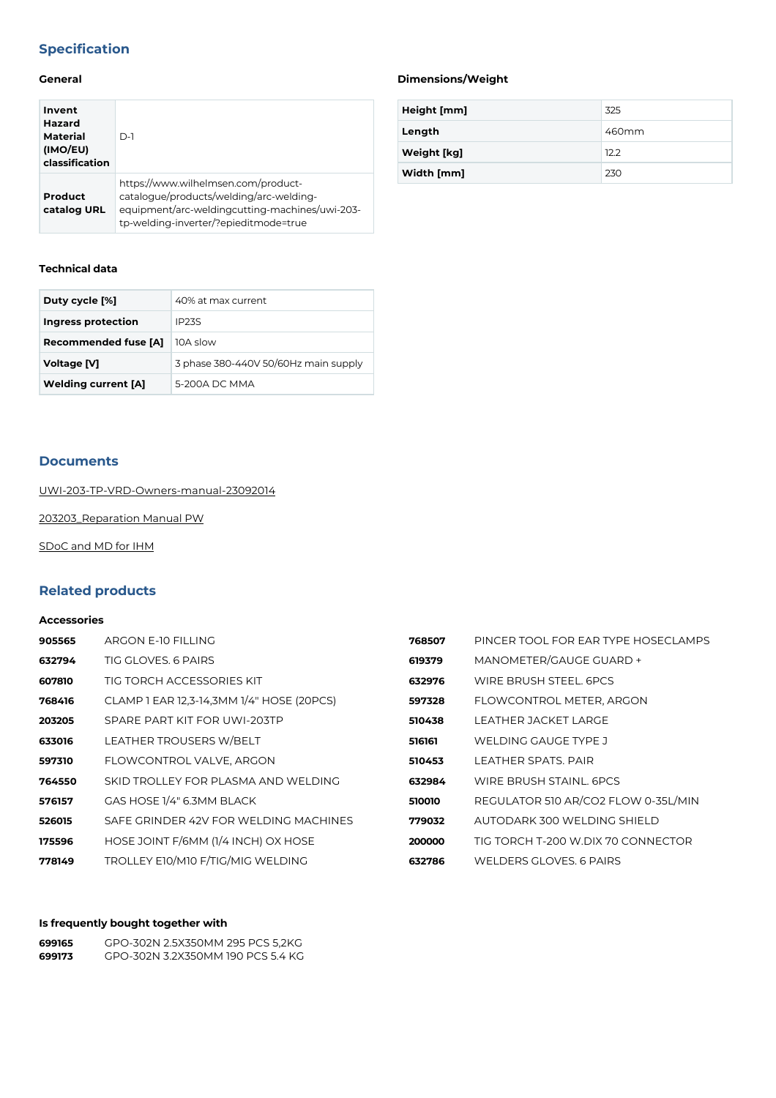# **Specification**

## **General**

| Invent<br>Hazard<br>Material<br>(IMO/EU)<br>classification | $D-1$                                                                                                                                                                     |
|------------------------------------------------------------|---------------------------------------------------------------------------------------------------------------------------------------------------------------------------|
| Product<br>catalog URL                                     | https://www.wilhelmsen.com/product-<br>catalogue/products/welding/arc-welding-<br>equipment/arc-weldingcutting-machines/uwi-203-<br>tp-welding-inverter/?epieditmode=true |

# **Technical data**

| Duty cycle [%]              | 40% at max current                   |  |  |
|-----------------------------|--------------------------------------|--|--|
| Ingress protection          | <b>IP23S</b>                         |  |  |
| <b>Recommended fuse [A]</b> | 10A slow                             |  |  |
| Voltage [V]                 | 3 phase 380-440V 50/60Hz main supply |  |  |
| <b>Welding current [A]</b>  | 5-200A DC MMA                        |  |  |

## **Documents**

[UWI-203-TP-VRD-Owners-manual-23092014](https://media.bluestonepim.com/e4deb258-8122-4fdf-9d12-b42f3e0e812d/b6f8344b-c8fb-4663-a4a1-7fa79caa5d0a/nWAtmKpcRt2VRSx874AWzpQO3/HrgJulCigEjR2bnjIXZoE4fbn.pdf)

[203203\\_Reparation Manual PW](https://media.bluestonepim.com/e4deb258-8122-4fdf-9d12-b42f3e0e812d/30268704-f30f-4779-88c2-59196c33db66/6xCFZfVKeCzJsmm8GMhFPGcCM/iEkvPSr2xezJwy5SEVA73eBJN.pdf)

[SDoC and MD for IHM](https://media.bluestonepim.com/e4deb258-8122-4fdf-9d12-b42f3e0e812d/3e09bb0a-e80e-4fa1-b743-0bbc43f3ed4d/1dUv0BzZ8EVGMWNn1AzmXDkQe/OBpbsSQ6Ahb9lcXH0JtzDzLIi.pdf)

# **Related products**

#### **Accessories**

| 905565 | ARGON E-10 FILLING                        | 768507 | PINCER TOOL FOR EAR TYPE HOSECLAMPS |
|--------|-------------------------------------------|--------|-------------------------------------|
| 632794 | TIG GLOVES, 6 PAIRS                       | 619379 | MANOMETER/GAUGE GUARD +             |
| 607810 | TIG TORCH ACCESSORIES KIT                 | 632976 | WIRE BRUSH STEEL, 6PCS              |
| 768416 | CLAMP 1 EAR 12,3-14,3MM 1/4" HOSE (20PCS) | 597328 | FLOWCONTROL METER, ARGON            |
| 203205 | SPARE PART KIT FOR UWI-203TP              | 510438 | LEATHER JACKET LARGE                |
| 633016 | <b>LEATHER TROUSERS W/BELT</b>            | 516161 | WELDING GAUGE TYPE J                |
| 597310 | FLOWCONTROL VALVE, ARGON                  | 510453 | LEATHER SPATS, PAIR                 |
| 764550 | SKID TROLLEY FOR PLASMA AND WELDING       | 632984 | WIRE BRUSH STAINL, 6PCS             |
| 576157 | GAS HOSE 1/4" 6.3MM BLACK                 | 510010 | REGULATOR 510 AR/CO2 FLOW 0-35L/MIN |
| 526015 | SAFE GRINDER 42V FOR WELDING MACHINES     | 779032 | AUTODARK 300 WELDING SHIELD         |
| 175596 | HOSE JOINT F/6MM (1/4 INCH) OX HOSE       | 200000 | TIG TORCH T-200 W.DIX 70 CONNECTOR  |
| 778149 | TROLLEY E10/M10 F/TIG/MIG WELDING         | 632786 | WELDERS GLOVES, 6 PAIRS             |

# **Is frequently bought together with**

| 699165 | GPO-302N 2.5X350MM 295 PCS 5.2KG  |
|--------|-----------------------------------|
| 699173 | GPO-302N 3.2X350MM 190 PCS 5.4 KG |

# **Dimensions/Weight**

| Height [mm] | 325   |
|-------------|-------|
| Length      | 460mm |
| Weight [kg] | 12.2  |
| Width [mm]  | 230   |